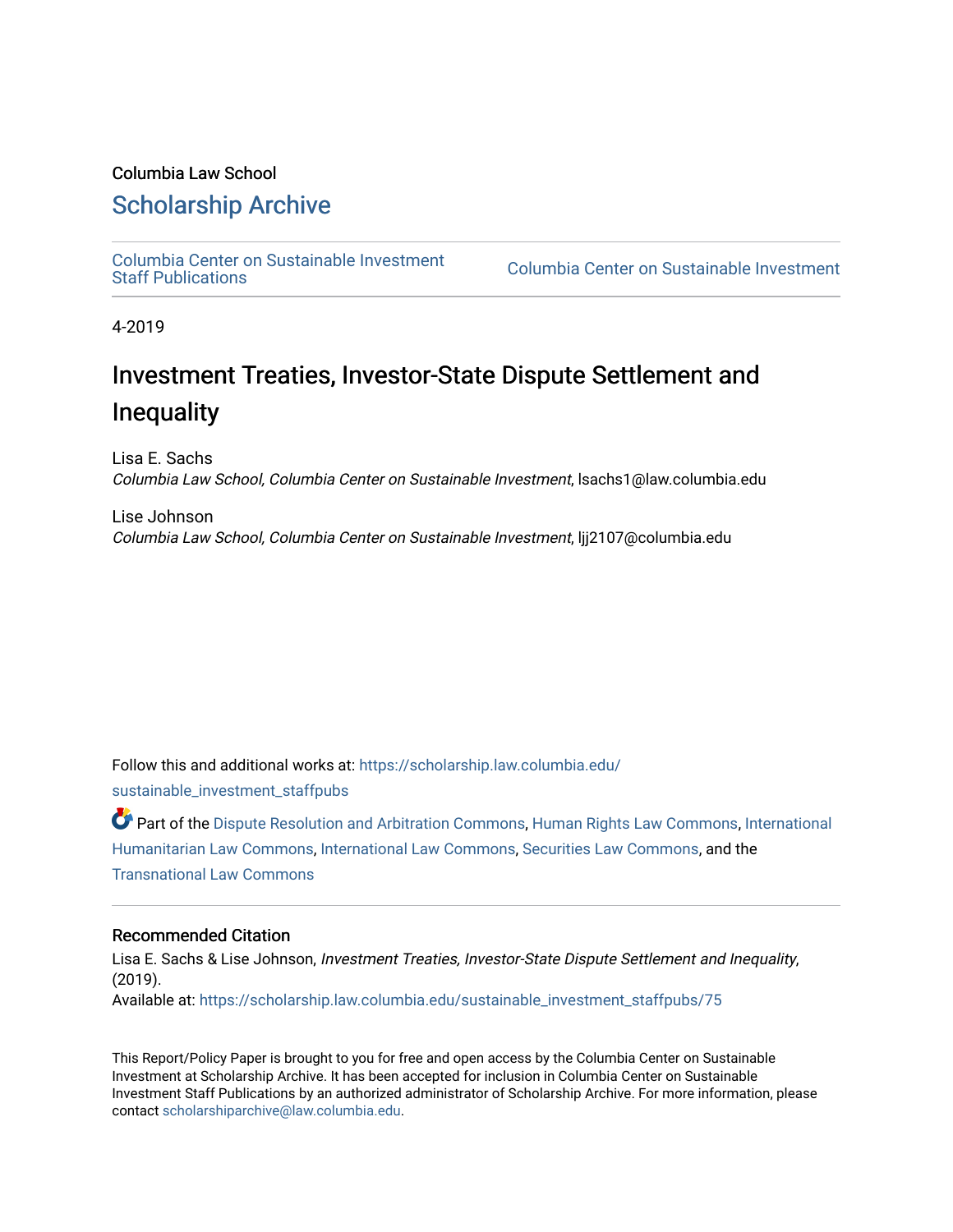### Columbia Law School

### [Scholarship Archive](https://scholarship.law.columbia.edu/)

[Columbia Center on Sustainable Investment](https://scholarship.law.columbia.edu/sustainable_investment_staffpubs) 

Columbia Center on Sustainable Investment

4-2019

### Investment Treaties, Investor-State Dispute Settlement and Inequality

Lisa E. Sachs Columbia Law School, Columbia Center on Sustainable Investment, lsachs1@law.columbia.edu

Lise Johnson Columbia Law School, Columbia Center on Sustainable Investment, ljj2107@columbia.edu

Follow this and additional works at: [https://scholarship.law.columbia.edu/](https://scholarship.law.columbia.edu/sustainable_investment_staffpubs?utm_source=scholarship.law.columbia.edu%2Fsustainable_investment_staffpubs%2F75&utm_medium=PDF&utm_campaign=PDFCoverPages) [sustainable\\_investment\\_staffpubs](https://scholarship.law.columbia.edu/sustainable_investment_staffpubs?utm_source=scholarship.law.columbia.edu%2Fsustainable_investment_staffpubs%2F75&utm_medium=PDF&utm_campaign=PDFCoverPages)

Part of the [Dispute Resolution and Arbitration Commons,](http://network.bepress.com/hgg/discipline/890?utm_source=scholarship.law.columbia.edu%2Fsustainable_investment_staffpubs%2F75&utm_medium=PDF&utm_campaign=PDFCoverPages) [Human Rights Law Commons](http://network.bepress.com/hgg/discipline/847?utm_source=scholarship.law.columbia.edu%2Fsustainable_investment_staffpubs%2F75&utm_medium=PDF&utm_campaign=PDFCoverPages), [International](http://network.bepress.com/hgg/discipline/1330?utm_source=scholarship.law.columbia.edu%2Fsustainable_investment_staffpubs%2F75&utm_medium=PDF&utm_campaign=PDFCoverPages)  [Humanitarian Law Commons,](http://network.bepress.com/hgg/discipline/1330?utm_source=scholarship.law.columbia.edu%2Fsustainable_investment_staffpubs%2F75&utm_medium=PDF&utm_campaign=PDFCoverPages) [International Law Commons](http://network.bepress.com/hgg/discipline/609?utm_source=scholarship.law.columbia.edu%2Fsustainable_investment_staffpubs%2F75&utm_medium=PDF&utm_campaign=PDFCoverPages), [Securities Law Commons](http://network.bepress.com/hgg/discipline/619?utm_source=scholarship.law.columbia.edu%2Fsustainable_investment_staffpubs%2F75&utm_medium=PDF&utm_campaign=PDFCoverPages), and the [Transnational Law Commons](http://network.bepress.com/hgg/discipline/1123?utm_source=scholarship.law.columbia.edu%2Fsustainable_investment_staffpubs%2F75&utm_medium=PDF&utm_campaign=PDFCoverPages)

#### Recommended Citation

Lisa E. Sachs & Lise Johnson, Investment Treaties, Investor-State Dispute Settlement and Inequality, (2019). Available at: [https://scholarship.law.columbia.edu/sustainable\\_investment\\_staffpubs/75](https://scholarship.law.columbia.edu/sustainable_investment_staffpubs/75?utm_source=scholarship.law.columbia.edu%2Fsustainable_investment_staffpubs%2F75&utm_medium=PDF&utm_campaign=PDFCoverPages)

This Report/Policy Paper is brought to you for free and open access by the Columbia Center on Sustainable Investment at Scholarship Archive. It has been accepted for inclusion in Columbia Center on Sustainable Investment Staff Publications by an authorized administrator of Scholarship Archive. For more information, please contact [scholarshiparchive@law.columbia.edu.](mailto:scholarshiparchive@law.columbia.edu)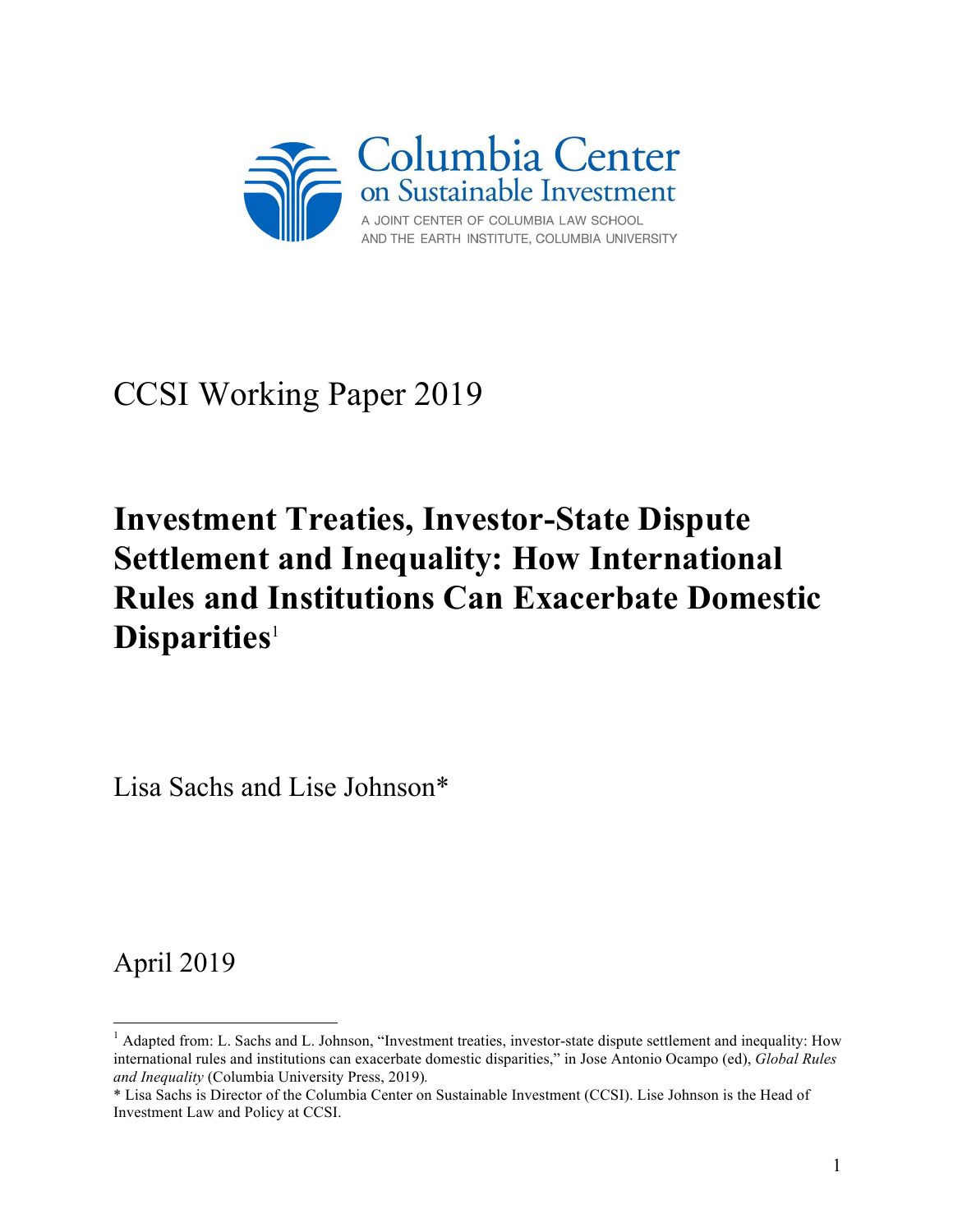

# CCSI Working Paper 2019

# **Investment Treaties, Investor-State Dispute Settlement and Inequality: How International Rules and Institutions Can Exacerbate Domestic Disparities**<sup>1</sup>

Lisa Sachs and Lise Johnson\*

April 2019

<sup>&</sup>lt;sup>1</sup> Adapted from: L. Sachs and L. Johnson, "Investment treaties, investor-state dispute settlement and inequality: How international rules and institutions can exacerbate domestic disparities," in Jose Antonio Ocampo (ed), *Global Rules and Inequality* (Columbia University Press, 2019)*.*

<sup>\*</sup> Lisa Sachs is Director of the Columbia Center on Sustainable Investment (CCSI). Lise Johnson is the Head of Investment Law and Policy at CCSI.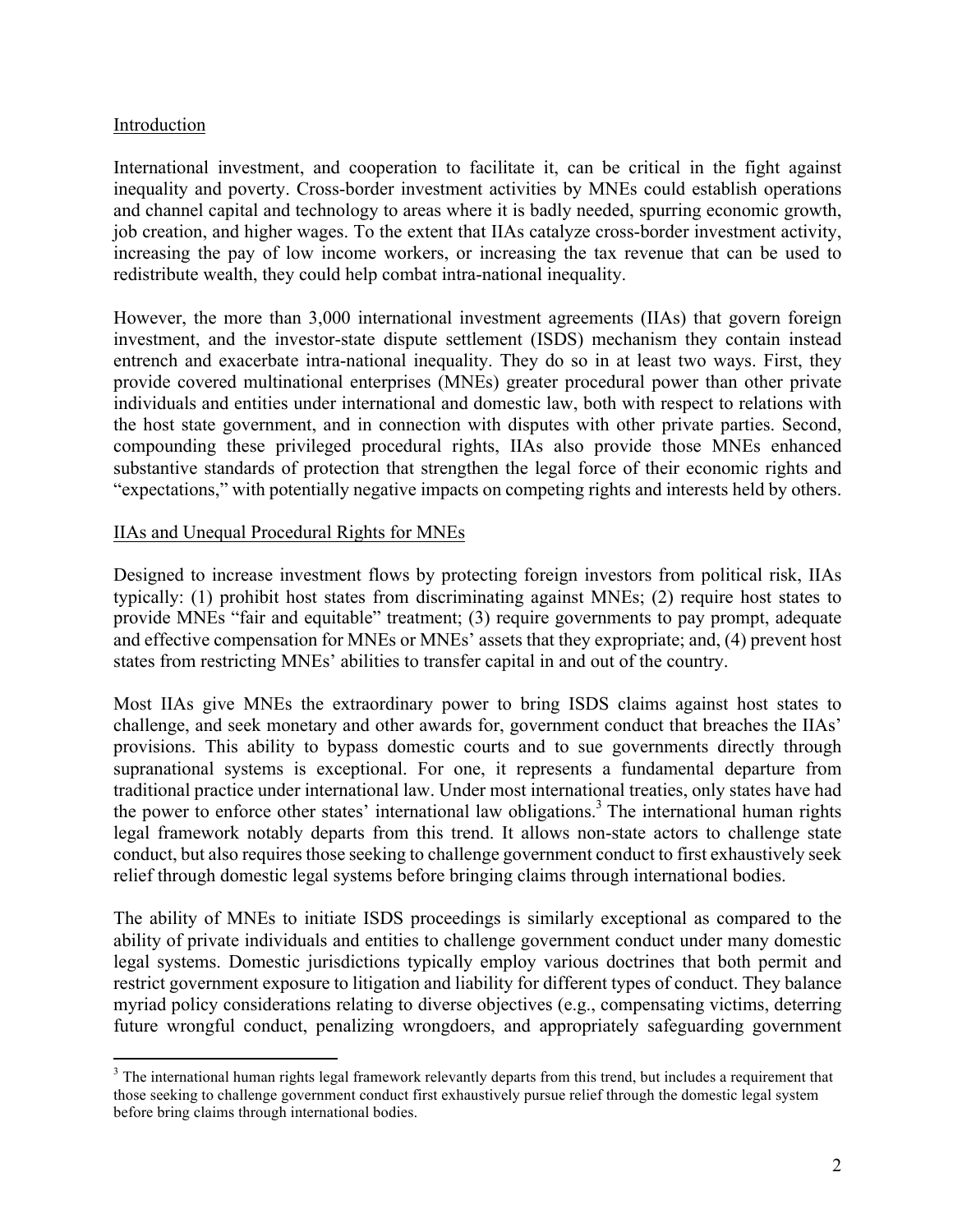### Introduction

International investment, and cooperation to facilitate it, can be critical in the fight against inequality and poverty. Cross-border investment activities by MNEs could establish operations and channel capital and technology to areas where it is badly needed, spurring economic growth, job creation, and higher wages. To the extent that IIAs catalyze cross-border investment activity, increasing the pay of low income workers, or increasing the tax revenue that can be used to redistribute wealth, they could help combat intra-national inequality.

However, the more than 3,000 international investment agreements (IIAs) that govern foreign investment, and the investor-state dispute settlement (ISDS) mechanism they contain instead entrench and exacerbate intra-national inequality. They do so in at least two ways. First, they provide covered multinational enterprises (MNEs) greater procedural power than other private individuals and entities under international and domestic law, both with respect to relations with the host state government, and in connection with disputes with other private parties. Second, compounding these privileged procedural rights, IIAs also provide those MNEs enhanced substantive standards of protection that strengthen the legal force of their economic rights and "expectations," with potentially negative impacts on competing rights and interests held by others.

### IIAs and Unequal Procedural Rights for MNEs

Designed to increase investment flows by protecting foreign investors from political risk, IIAs typically: (1) prohibit host states from discriminating against MNEs; (2) require host states to provide MNEs "fair and equitable" treatment; (3) require governments to pay prompt, adequate and effective compensation for MNEs or MNEs' assets that they expropriate; and, (4) prevent host states from restricting MNEs' abilities to transfer capital in and out of the country.

Most IIAs give MNEs the extraordinary power to bring ISDS claims against host states to challenge, and seek monetary and other awards for, government conduct that breaches the IIAs' provisions. This ability to bypass domestic courts and to sue governments directly through supranational systems is exceptional. For one, it represents a fundamental departure from traditional practice under international law. Under most international treaties, only states have had the power to enforce other states' international law obligations.<sup>3</sup> The international human rights legal framework notably departs from this trend. It allows non-state actors to challenge state conduct, but also requires those seeking to challenge government conduct to first exhaustively seek relief through domestic legal systems before bringing claims through international bodies.

The ability of MNEs to initiate ISDS proceedings is similarly exceptional as compared to the ability of private individuals and entities to challenge government conduct under many domestic legal systems. Domestic jurisdictions typically employ various doctrines that both permit and restrict government exposure to litigation and liability for different types of conduct. They balance myriad policy considerations relating to diverse objectives (e.g., compensating victims, deterring future wrongful conduct, penalizing wrongdoers, and appropriately safeguarding government

<sup>&</sup>lt;sup>3</sup> The international human rights legal framework relevantly departs from this trend, but includes a requirement that those seeking to challenge government conduct first exhaustively pursue relief through the domestic legal system before bring claims through international bodies.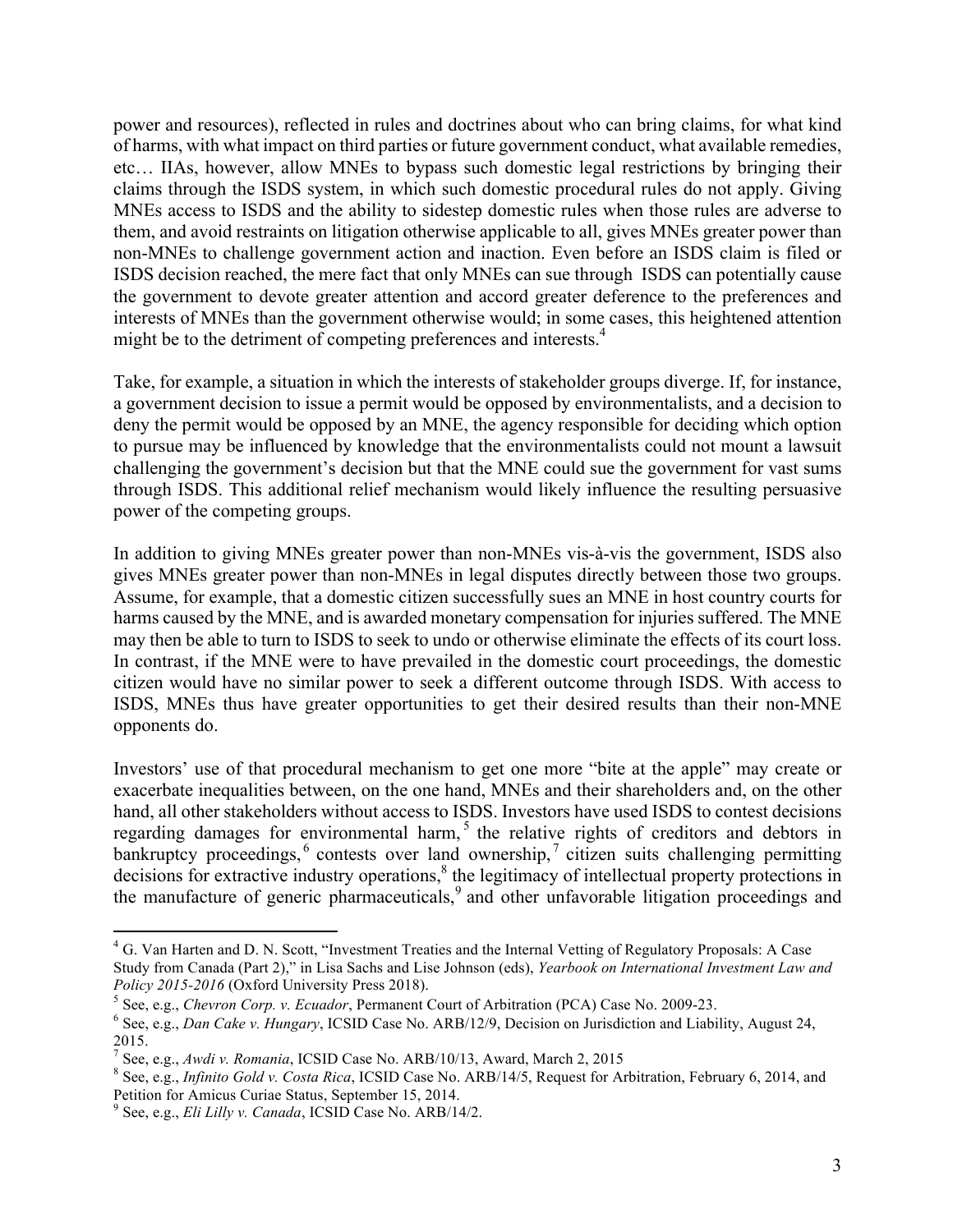power and resources), reflected in rules and doctrines about who can bring claims, for what kind of harms, with what impact on third parties or future government conduct, what available remedies, etc… IIAs, however, allow MNEs to bypass such domestic legal restrictions by bringing their claims through the ISDS system, in which such domestic procedural rules do not apply. Giving MNEs access to ISDS and the ability to sidestep domestic rules when those rules are adverse to them, and avoid restraints on litigation otherwise applicable to all, gives MNEs greater power than non-MNEs to challenge government action and inaction. Even before an ISDS claim is filed or ISDS decision reached, the mere fact that only MNEs can sue through ISDS can potentially cause the government to devote greater attention and accord greater deference to the preferences and interests of MNEs than the government otherwise would; in some cases, this heightened attention might be to the detriment of competing preferences and interests. 4

Take, for example, a situation in which the interests of stakeholder groups diverge. If, for instance, a government decision to issue a permit would be opposed by environmentalists, and a decision to deny the permit would be opposed by an MNE, the agency responsible for deciding which option to pursue may be influenced by knowledge that the environmentalists could not mount a lawsuit challenging the government's decision but that the MNE could sue the government for vast sums through ISDS. This additional relief mechanism would likely influence the resulting persuasive power of the competing groups.

In addition to giving MNEs greater power than non-MNEs vis-à-vis the government, ISDS also gives MNEs greater power than non-MNEs in legal disputes directly between those two groups. Assume, for example, that a domestic citizen successfully sues an MNE in host country courts for harms caused by the MNE, and is awarded monetary compensation for injuries suffered. The MNE may then be able to turn to ISDS to seek to undo or otherwise eliminate the effects of its court loss. In contrast, if the MNE were to have prevailed in the domestic court proceedings, the domestic citizen would have no similar power to seek a different outcome through ISDS. With access to ISDS, MNEs thus have greater opportunities to get their desired results than their non-MNE opponents do.

Investors' use of that procedural mechanism to get one more "bite at the apple" may create or exacerbate inequalities between, on the one hand, MNEs and their shareholders and, on the other hand, all other stakeholders without access to ISDS. Investors have used ISDS to contest decisions regarding damages for environmental harm,  $5$  the relative rights of creditors and debtors in  $b$ ankruptcy proceedings,  $\frac{6}{3}$  contests over land ownership,  $\frac{1}{2}$  citizen suits challenging permitting  $\alpha$  decisions for extractive industry operations,<sup>8</sup> the legitimacy of intellectual property protections in the manufacture of generic pharmaceuticals,<sup>9</sup> and other unfavorable litigation proceedings and

 <sup>4</sup> G. Van Harten and D. N. Scott, "Investment Treaties and the Internal Vetting of Regulatory Proposals: A Case Study from Canada (Part 2)," in Lisa Sachs and Lise Johnson (eds), *Yearbook on International Investment Law and Policy 2015-2016* (Oxford University Press 2018). 5 See, e.g., *Chevron Corp. v. Ecuador*, Permanent Court of Arbitration (PCA) Case No. 2009-23.

<sup>6</sup> See, e.g., *Dan Cake v. Hungary*, ICSID Case No. ARB/12/9, Decision on Jurisdiction and Liability, August 24, 2015.<br><sup>7</sup> See, e.g., *Awdi v. Romania*, ICSID Case No. ARB/10/13, Award, March 2, 2015

<sup>&</sup>lt;sup>8</sup> See, e.g., *Infinito Gold v. Costa Rica*, ICSID Case No. ARB/14/5, Request for Arbitration, February 6, 2014, and Petition for Amicus Curiae Status, September 15, 2014.

<sup>9</sup> See, e.g., *Eli Lilly v. Canada*, ICSID Case No. ARB/14/2.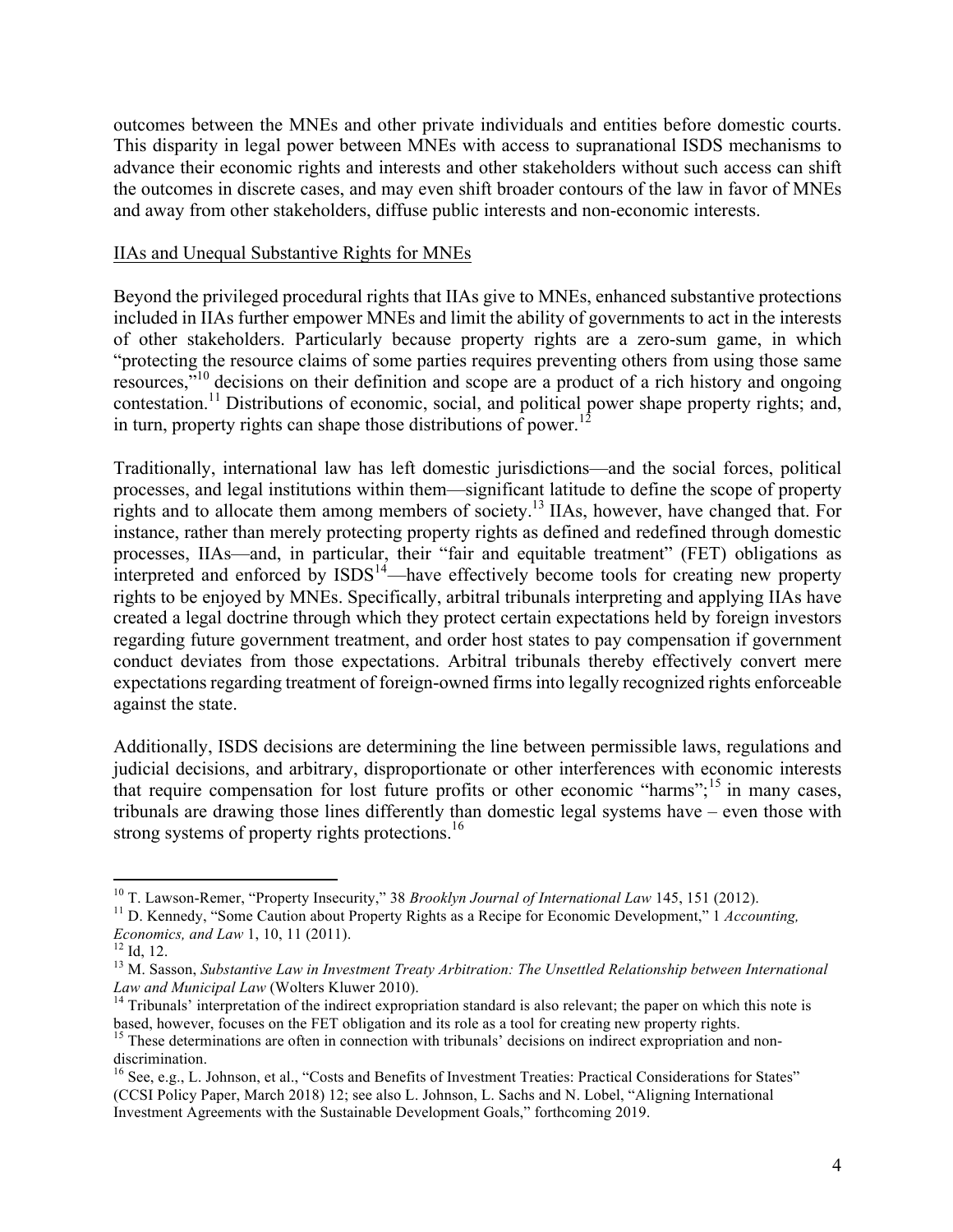outcomes between the MNEs and other private individuals and entities before domestic courts. This disparity in legal power between MNEs with access to supranational ISDS mechanisms to advance their economic rights and interests and other stakeholders without such access can shift the outcomes in discrete cases, and may even shift broader contours of the law in favor of MNEs and away from other stakeholders, diffuse public interests and non-economic interests.

#### IIAs and Unequal Substantive Rights for MNEs

Beyond the privileged procedural rights that IIAs give to MNEs, enhanced substantive protections included in IIAs further empower MNEs and limit the ability of governments to act in the interests of other stakeholders. Particularly because property rights are a zero-sum game, in which "protecting the resource claims of some parties requires preventing others from using those same resources,"10 decisions on their definition and scope are a product of a rich history and ongoing contestation.11 Distributions of economic, social, and political power shape property rights; and, in turn, property rights can shape those distributions of power.<sup>12</sup>

Traditionally, international law has left domestic jurisdictions—and the social forces, political processes, and legal institutions within them—significant latitude to define the scope of property rights and to allocate them among members of society. <sup>13</sup> IIAs, however, have changed that. For instance, rather than merely protecting property rights as defined and redefined through domestic processes, IIAs—and, in particular, their "fair and equitable treatment" (FET) obligations as interpreted and enforced by  $ISBN^4$ —have effectively become tools for creating new property rights to be enjoyed by MNEs. Specifically, arbitral tribunals interpreting and applying IIAs have created a legal doctrine through which they protect certain expectations held by foreign investors regarding future government treatment, and order host states to pay compensation if government conduct deviates from those expectations. Arbitral tribunals thereby effectively convert mere expectations regarding treatment of foreign-owned firms into legally recognized rights enforceable against the state.

Additionally, ISDS decisions are determining the line between permissible laws, regulations and judicial decisions, and arbitrary, disproportionate or other interferences with economic interests that require compensation for lost future profits or other economic "harms";<sup>15</sup> in many cases, tribunals are drawing those lines differently than domestic legal systems have – even those with strong systems of property rights protections.<sup>16</sup>

<sup>&</sup>lt;sup>10</sup> T. Lawson-Remer, "Property Insecurity," 38 *Brooklyn Journal of International Law* 145, 151 (2012).<br><sup>11</sup> D. Kennedy, "Some Caution about Property Rights as a Recipe for Economic Development," 1 *Accounting*,

*Economics, and Law 1, 10, 11 (2011).*<br><sup>12</sup> Id, 12.<br><sup>13</sup> M. Sasson, *Substantive Law in Investment Treaty Arbitration: The Unsettled Relationship between International<br><i>Law and Municipal Law* (Wolters Kluwer 2010).

<sup>&</sup>lt;sup>14</sup> Tribunals' interpretation of the indirect expropriation standard is also relevant; the paper on which this note is

based, however, focuses on the FET obligation and its role as a tool for creating new property rights.<br><sup>15</sup> These determinations are often in connection with tribunals' decisions on indirect expropriation and nondiscrimination.

<sup>&</sup>lt;sup>16</sup> See, e.g., L. Johnson, et al., "Costs and Benefits of Investment Treaties: Practical Considerations for States" (CCSI Policy Paper, March 2018) 12; see also L. Johnson, L. Sachs and N. Lobel, "Aligning International Investment Agreements with the Sustainable Development Goals," forthcoming 2019.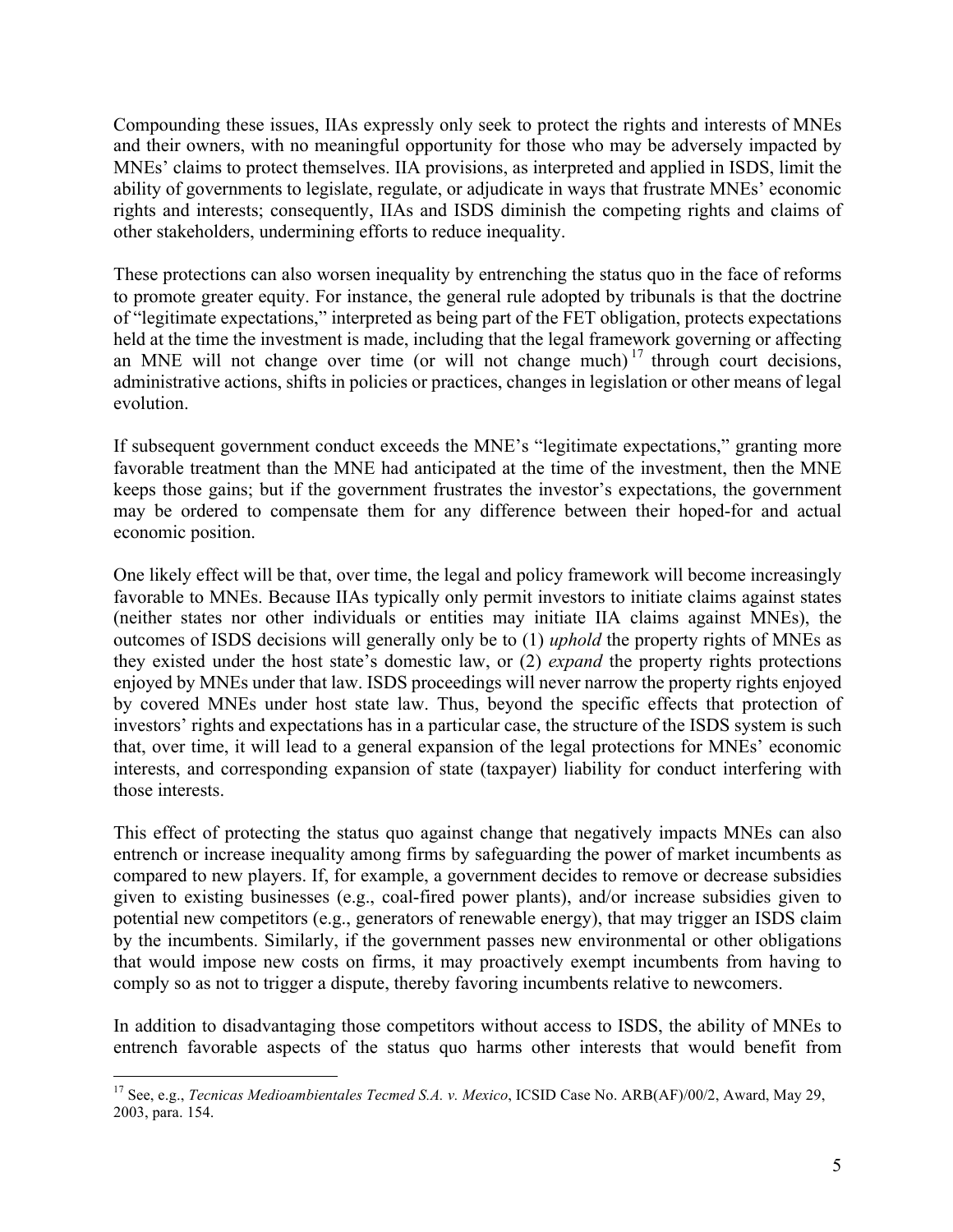Compounding these issues, IIAs expressly only seek to protect the rights and interests of MNEs and their owners, with no meaningful opportunity for those who may be adversely impacted by MNEs' claims to protect themselves. IIA provisions, as interpreted and applied in ISDS, limit the ability of governments to legislate, regulate, or adjudicate in ways that frustrate MNEs' economic rights and interests; consequently, IIAs and ISDS diminish the competing rights and claims of other stakeholders, undermining efforts to reduce inequality.

These protections can also worsen inequality by entrenching the status quo in the face of reforms to promote greater equity. For instance, the general rule adopted by tribunals is that the doctrine of "legitimate expectations," interpreted as being part of the FET obligation, protects expectations held at the time the investment is made, including that the legal framework governing or affecting an MNE will not change over time (or will not change much)<sup> $17$ </sup> through court decisions, administrative actions, shifts in policies or practices, changes in legislation or other means of legal evolution.

If subsequent government conduct exceeds the MNE's "legitimate expectations," granting more favorable treatment than the MNE had anticipated at the time of the investment, then the MNE keeps those gains; but if the government frustrates the investor's expectations, the government may be ordered to compensate them for any difference between their hoped-for and actual economic position.

One likely effect will be that, over time, the legal and policy framework will become increasingly favorable to MNEs. Because IIAs typically only permit investors to initiate claims against states (neither states nor other individuals or entities may initiate IIA claims against MNEs), the outcomes of ISDS decisions will generally only be to (1) *uphold* the property rights of MNEs as they existed under the host state's domestic law, or (2) *expand* the property rights protections enjoyed by MNEs under that law. ISDS proceedings will never narrow the property rights enjoyed by covered MNEs under host state law. Thus, beyond the specific effects that protection of investors' rights and expectations has in a particular case, the structure of the ISDS system is such that, over time, it will lead to a general expansion of the legal protections for MNEs' economic interests, and corresponding expansion of state (taxpayer) liability for conduct interfering with those interests.

This effect of protecting the status quo against change that negatively impacts MNEs can also entrench or increase inequality among firms by safeguarding the power of market incumbents as compared to new players. If, for example, a government decides to remove or decrease subsidies given to existing businesses (e.g., coal-fired power plants), and/or increase subsidies given to potential new competitors (e.g., generators of renewable energy), that may trigger an ISDS claim by the incumbents. Similarly, if the government passes new environmental or other obligations that would impose new costs on firms, it may proactively exempt incumbents from having to comply so as not to trigger a dispute, thereby favoring incumbents relative to newcomers.

In addition to disadvantaging those competitors without access to ISDS, the ability of MNEs to entrench favorable aspects of the status quo harms other interests that would benefit from

 <sup>17</sup> See, e.g., *Tecnicas Medioambientales Tecmed S.A. v. Mexico*, ICSID Case No. ARB(AF)/00/2, Award, May 29, 2003, para. 154.